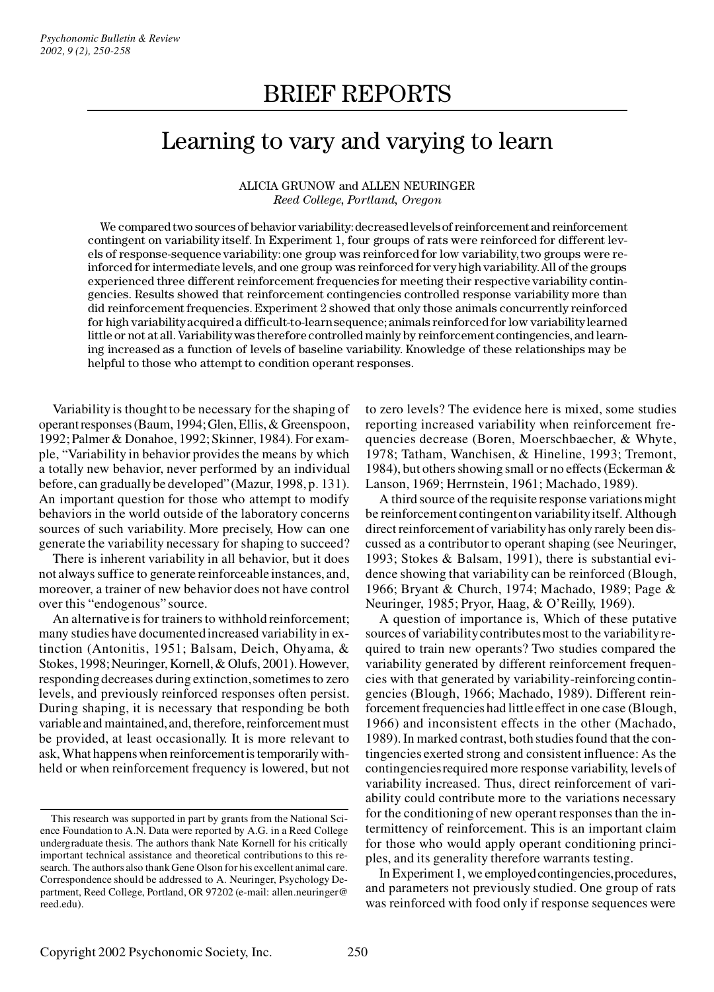# Learning to vary and varying to learn

# ALICIA GRUNOW and ALLEN NEURINGER *Reed College, Portland, Oregon*

We compared two sources of behavior variability: decreased levels of reinforcement and reinforcement contingent on variability itself. In Experiment 1, four groups of rats were reinforced for different levels of response-sequence variability: one group was reinforced for low variability, two groups were reinforced for intermediate levels, and one group was reinforced for very high variability. All of the groups experienced three different reinforcement frequencies for meeting their respective variability contingencies. Results showed that reinforcement contingencies controlled response variability more than did reinforcement frequencies. Experiment 2 showed that only those animals concurrently reinforced for high variability acquired a difficult-to-learn sequence; animals reinforced for low variability learned little or not at all. Variability was therefore controlled mainly by reinforcement contingencies, and learning increased as a function of levels of baseline variability. Knowledge of these relationships may be helpful to those who attempt to condition operant responses.

Variability is thought to be necessary for the shaping of operant responses (Baum, 1994; Glen, Ellis, & Greenspoon, 1992; Palmer & Donahoe, 1992; Skinner, 1984). For example, "Variability in behavior provides the means by which a totally new behavior, never performed by an individual before, can gradually be developed"(Mazur, 1998, p. 131). An important question for those who attempt to modify behaviors in the world outside of the laboratory concerns sources of such variability. More precisely, How can one generate the variability necessary for shaping to succeed?

There is inherent variability in all behavior, but it does not always suffice to generate reinforceable instances, and, moreover, a trainer of new behavior does not have control over this "endogenous" source.

An alternative is for trainers to withhold reinforcement; many studies have documented increased variability in extinction (Antonitis, 1951; Balsam, Deich, Ohyama, & Stokes, 1998; Neuringer, Kornell, & Olufs, 2001). However, responding decreases during extinction, sometimes to zero levels, and previously reinforced responses often persist. During shaping, it is necessary that responding be both variable and maintained, and, therefore, reinforcement must be provided, at least occasionally. It is more relevant to ask, What happens when reinforcement is temporarily withheld or when reinforcement frequency is lowered, but not

to zero levels? The evidence here is mixed, some studies reporting increased variability when reinforcement frequencies decrease (Boren, Moerschbaecher, & Whyte, 1978; Tatham, Wanchisen, & Hineline, 1993; Tremont, 1984), but others showing small or no effects (Eckerman & Lanson, 1969; Herrnstein, 1961; Machado, 1989).

A third source of the requisite response variations might be reinforcement contingent on variability itself. Although direct reinforcement of variability has only rarely been discussed as a contributor to operant shaping (see Neuringer, 1993; Stokes & Balsam, 1991), there is substantial evidence showing that variability can be reinforced (Blough, 1966; Bryant & Church, 1974; Machado, 1989; Page & Neuringer, 1985; Pryor, Haag, & O'Reilly, 1969).

A question of importance is, Which of these putative sources of variability contributes most to the variability required to train new operants? Two studies compared the variability generated by different reinforcement frequencies with that generated by variability-reinforcing contingencies (Blough, 1966; Machado, 1989). Different reinforcement frequencies had little effect in one case (Blough, 1966) and inconsistent effects in the other (Machado, 1989). In marked contrast, both studies found that the contingencies exerted strong and consistent influence: As the contingencies required more response variability, levels of variability increased. Thus, direct reinforcement of variability could contribute more to the variations necessary for the conditioning of new operant responses than the intermittency of reinforcement. This is an important claim for those who would apply operant conditioning principles, and its generality therefore warrants testing.

In Experiment 1, we employed contingencies, procedures, and parameters not previously studied. One group of rats was reinforced with food only if response sequences were

This research was supported in part by grants from the National Sci ence Foundation to A.N. Data were reported by A.G. in a Reed College undergraduate thesis. The authors thank Nate Kornell for his critically important technical assistance and theoretical contributions to this re search. The authors also thank Gene Olson for his excellent animal care. Correspondence should be addressed to A. Neuringer, Psychology Department, Reed College, Portland, OR 97202 (e-mail: allen.neuringer@ reed.edu).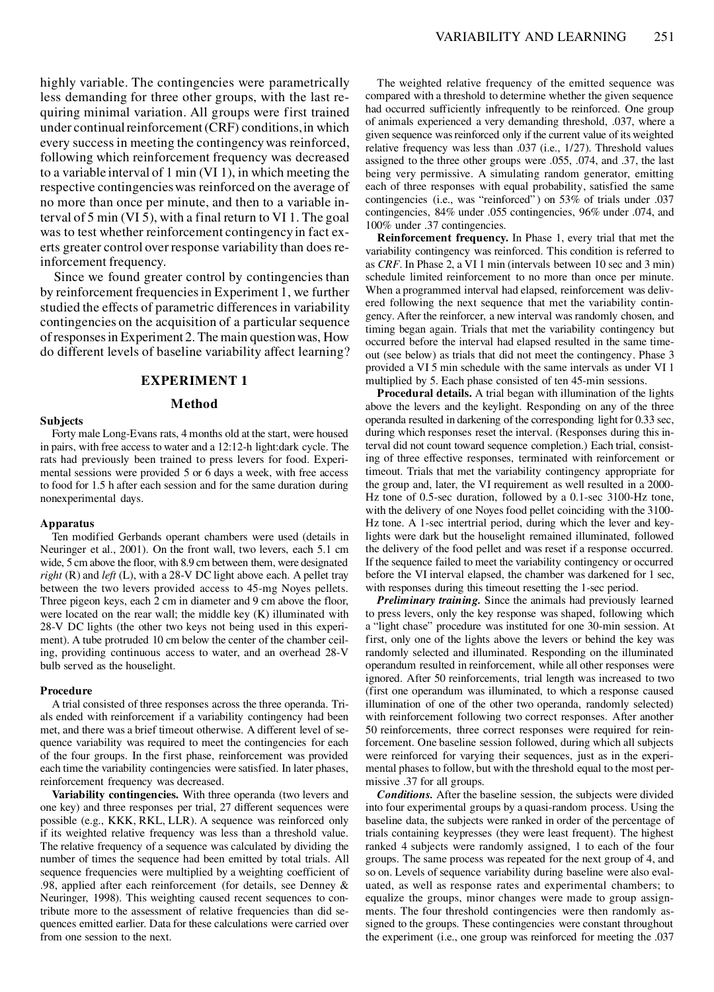highly variable. The contingencies were parametrically less demanding for three other groups, with the last requiring minimal variation. All groups were first trained under continual reinforcement (CRF) conditions, in which every success in meeting the contingency was reinforced, following which reinforcement frequency was decreased to a variable interval of 1 min (VI 1), in which meeting the respective contingencies was reinforced on the average of no more than once per minute, and then to a variable interval of 5 min (VI 5), with a final return to VI 1. The goal was to test whether reinforcement contingency in fact exerts greater control over response variability than does reinforcement frequency.

Since we found greater control by contingencies than by reinforcement frequencies in Experiment 1, we further studied the effects of parametric differences in variability contingencies on the acquisition of a particular sequence of responses in Experiment 2. The main question was, How do different levels of baseline variability affect learning?

# **EXPERIMENT 1**

## **Method**

#### **Subjects**

Forty male Long-Evans rats, 4 months old at the start, were housed in pairs, with free access to water and a 12:12-h light:dark cycle. The rats had previously been trained to press levers for food. Experimental sessions were provided 5 or 6 days a week, with free access to food for 1.5 h after each session and for the same duration during nonexperimental days.

#### **Apparatus**

Ten modified Gerbands operant chambers were used (details in Neuringer et al., 2001). On the front wall, two levers, each 5.1 cm wide, 5 cm above the floor, with 8.9 cm between them, were designated *right* (R) and *left* (L), with a 28-V DC light above each. A pellet tray between the two levers provided access to 45-mg Noyes pellets. Three pigeon keys, each 2 cm in diameter and 9 cm above the floor, were located on the rear wall; the middle key (K) illuminated with 28-V DC lights (the other two keys not being used in this experiment). A tube protruded 10 cm below the center of the chamber ceiling, providing continuous access to water, and an overhead 28-V bulb served as the houselight.

#### **Procedure**

A trial consisted of three responses across the three operanda. Trials ended with reinforcement if a variability contingency had been met, and there was a brief timeout otherwise. A different level of se quence variability was required to meet the contingencies for each of the four groups. In the first phase, reinforcement was provided each time the variability contingencies were satisfied. In later phases, reinforcement frequency was decreased.

**Variability contingencies.** With three operanda (two levers and one key) and three responses per trial, 27 different sequences were possible (e.g., KKK, RKL, LLR). A sequence was reinforced only if its weighted relative frequency was less than a threshold value. The relative frequency of a sequence was calculated by dividing the number of times the sequence had been emitted by total trials. All sequence frequencies were multiplied by a weighting coefficient of .98, applied after each reinforcement (for details, see Denney & Neuringer, 1998). This weighting caused recent sequences to contribute more to the assessment of relative frequencies than did se quences emitted earlier. Data for these calculations were carried over from one session to the next.

The weighted relative frequency of the emitted sequence was compared with a threshold to determine whether the given sequence had occurred sufficiently infrequently to be reinforced. One group of animals experienced a very demanding threshold, .037, where a given sequence was reinforced only if the current value of its weighted relative frequency was less than .037 (i.e., 1/27). Threshold values assigned to the three other groups were .055, .074, and .37, the last being very permissive. A simulating random generator, emitting each of three responses with equal probability, satisfied the same contingencies (i.e., was "reinforced" ) on 53% of trials under .037 contingencies, 84% under .055 contingencies, 96% under .074, and 100% under .37 contingencies.

**Reinforcement frequency.** In Phase 1, every trial that met the variability contingency was reinforced. This condition is referred to as *CRF*. In Phase 2, a VI 1 min (intervals between 10 sec and 3 min) schedule limited reinforcement to no more than once per minute. When a programmed interval had elapsed, reinforcement was delivered following the next sequence that met the variability contingency. After the reinforcer, a new interval was randomly chosen, and timing began again. Trials that met the variability contingency but occurred before the interval had elapsed resulted in the same timeout (see below) as trials that did not meet the contingency. Phase 3 provided a VI 5 min schedule with the same intervals as under VI 1 multiplied by 5. Each phase consisted of ten 45-min sessions.

**Procedural details.** A trial began with illumination of the lights above the levers and the keylight. Responding on any of the three operanda resulted in darkening of the corresponding light for 0.33 sec, during which responses reset the interval. (Responses during this interval did not count toward sequence completion.) Each trial, consisting of three effective responses, terminated with reinforcement or timeout. Trials that met the variability contingency appropriate for the group and, later, the VI requirement as well resulted in a 2000- Hz tone of 0.5-sec duration, followed by a 0.1-sec 3100-Hz tone, with the delivery of one Noyes food pellet coinciding with the 3100- Hz tone. A 1-sec intertrial period, during which the lever and keylights were dark but the houselight remained illuminated, followed the delivery of the food pellet and was reset if a response occurred. If the sequence failed to meet the variability contingency or occurred before the VI interval elapsed, the chamber was darkened for 1 sec, with responses during this timeout resetting the 1-sec period.

*Preliminary training.* Since the animals had previously learned to press levers, only the key response was shaped, following which a "light chase" procedure was instituted for one 30-min session. At first, only one of the lights above the levers or behind the key was randomly selected and illuminated. Responding on the illuminated operandum resulted in reinforcement, while all other responses were ignored. After 50 reinforcements, trial length was increased to two (first one operandum was illuminated, to which a response caused illumination of one of the other two operanda, randomly selected) with reinforcement following two correct responses. After another 50 reinforcements, three correct responses were required for reinforcement. One baseline session followed, during which all subjects were reinforced for varying their sequences, just as in the experimental phases to follow, but with the threshold equal to the most permissive .37 for all groups.

*Conditions.* After the baseline session, the subjects were divided into four experimental groups by a quasi-random process. Using the baseline data, the subjects were ranked in order of the percentage of trials containing keypresses (they were least frequent). The highest ranked 4 subjects were randomly assigned, 1 to each of the four groups. The same process was repeated for the next group of 4, and so on. Levels of sequence variability during baseline were also evaluated, as well as response rates and experimental chambers; to equalize the groups, minor changes were made to group assignments. The four threshold contingencies were then randomly as signed to the groups. These contingencies were constant throughout the experiment (i.e., one group was reinforced for meeting the .037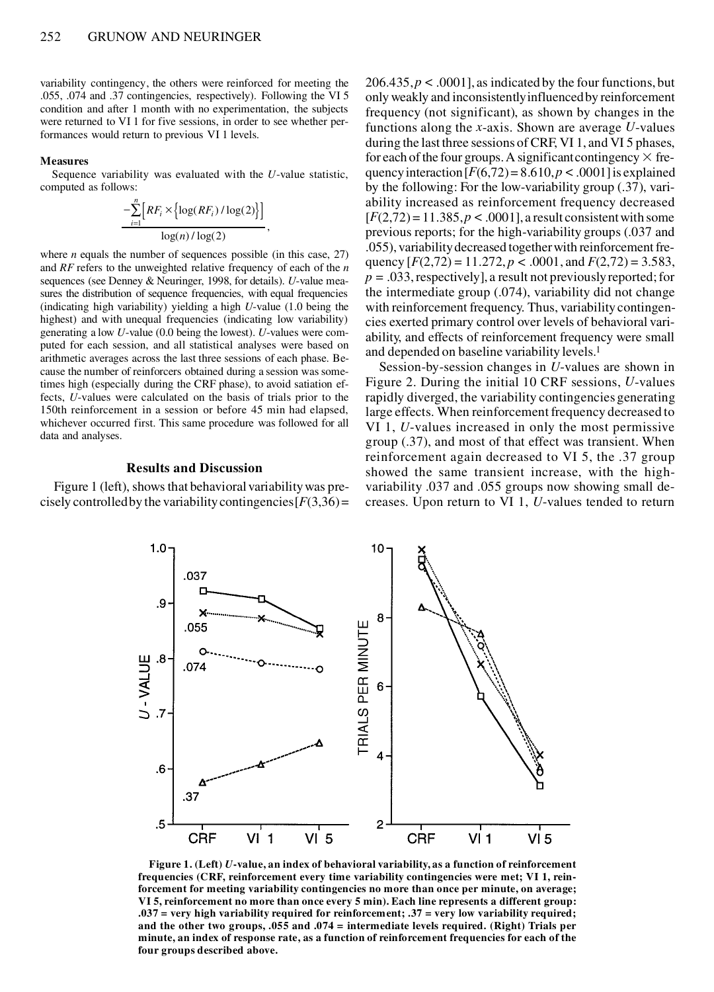variability contingency, the others were reinforced for meeting the .055, .074 and .37 contingencies, respectively). Following the VI 5 condition and after 1 month with no experimentation, the subjects were returned to VI 1 for five sessions, in order to see whether performances would return to previous VI 1 levels.

#### **Measures**

Sequence variability was evaluated with the *U*-value statistic, computed as follows:

$$
-\sum_{i=1}^{n} \Big[ RF_i \times \Big\{ \log(RF_i) / \log(2) \Big\} \Big] \over \log(n) / \log(2) \, ,
$$

,

where *n* equals the number of sequences possible (in this case, 27) and *RF* refers to the unweighted relative frequency of each of the *n* sequences (see Denney & Neuringer, 1998, for details). *U*-value mea sures the distribution of sequence frequencies, with equal frequencies (indicating high variability) yielding a high *U*-value (1.0 being the highest) and with unequal frequencies (indicating low variability) generating a low *U*-value (0.0 being the lowest). *U*-values were com puted for each session, and all statistical analyses were based on arithmetic averages across the last three sessions of each phase. Be cause the number of reinforcers obtained during a session was sometimes high (especially during the CRF phase), to avoid satiation effects, *U*-values were calculated on the basis of trials prior to the 150th reinforcement in a session or before 45 min had elapsed, whichever occurred first. This same procedure was followed for all data and analyses.

# **Results and Discussion**

Figure 1 (left), shows that behavioral variability was precisely controlled by the variability contingencies  $[F(3,36)$  =

 $206.435, p < .0001$ , as indicated by the four functions, but only weakly and inconsistently influenced by reinforcement frequency (not significant), as shown by changes in the functions along the *x*-axis. Shown are average *U*-values during the last three sessions of CRF, VI 1, and VI 5 phases, for each of the four groups. A significant contingency  $\times$  frequency interaction  $[F(6,72) = 8.610, p < .0001]$  is explained by the following: For the low-variability group (.37), variability increased as reinforcement frequency decreased  $[F(2,72) = 11.385, p < .0001]$ , a result consistent with some previous reports; for the high-variability groups (.037 and .055), variability decreased together with reinforcement frequency  $[F(2,72) = 11.272, p < .0001,$  and  $F(2,72) = 3.583,$ *p =* .033, respectively], a result not previously reported; for the intermediate group (.074), variability did not change with reinforcement frequency. Thus, variability contingencies exerted primary control over levels of behavioral variability, and effects of reinforcement frequency were small and depended on baseline variability levels.1

Session-by-session changes in *U*-values are shown in Figure 2. During the initial 10 CRF sessions, *U*-values rapidly diverged, the variability contingencies generating large effects. When reinforcement frequency decreased to VI 1, *U*-values increased in only the most permissive group (.37), and most of that effect was transient. When reinforcement again decreased to VI 5, the .37 group showed the same transient increase, with the highvariability .037 and .055 groups now showing small decreases. Upon return to VI 1, *U*-values tended to return



**Figure 1. (Left)** *U***-value, an index of behavioral variability, as a function of reinforcement frequencies (CRF, reinforcement every time variability contingencies were met; VI 1, reinforcement for meeting variability contingencies no more than once per minute, on average; VI 5, reinforcement no more than once every 5 min). Each line represents a different group: .037 = very high variability required for reinforcement; .37 = very low variability required; and the other two groups, .055 and .074 = intermediate levels required. (Right) Trials per minute, an index of response rate, as a function of reinforcement frequencies for each of the four groups described above.**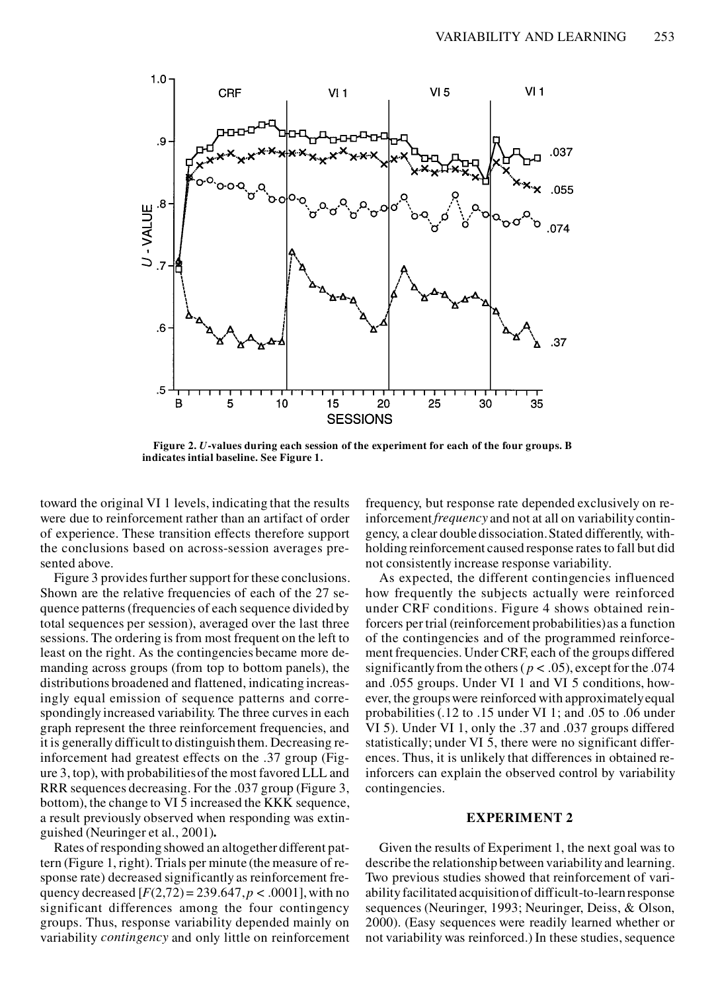

**Figure 2.** *U***-values during each session of the experiment for each of the four groups. B indicates intial baseline. See Figure 1.**

toward the original VI 1 levels, indicating that the results were due to reinforcement rather than an artifact of order of experience. These transition effects therefore support the conclusions based on across-session averages presented above.

Figure 3 provides further support for these conclusions. Shown are the relative frequencies of each of the 27 sequence patterns (frequencies of each sequence divided by total sequences per session), averaged over the last three sessions. The ordering is from most frequent on the left to least on the right. As the contingencies became more demanding across groups (from top to bottom panels), the distributions broadened and flattened, indicating increasingly equal emission of sequence patterns and correspondingly increased variability. The three curves in each graph represent the three reinforcement frequencies, and it is generally difficult to distinguish them. Decreasing reinforcement had greatest effects on the .37 group (Figure 3, top), with probabilities of the most favored LLL and RRR sequences decreasing. For the .037 group (Figure 3, bottom), the change to VI 5 increased the KKK sequence, a result previously observed when responding was extinguished (Neuringer et al., 2001)**.**

Rates of responding showed an altogether different pattern (Figure 1, right). Trials per minute (the measure of response rate) decreased significantly as reinforcement frequency decreased  $[F(2,72) = 239.647, p < .0001]$ , with no significant differences among the four contingency groups. Thus, response variability depended mainly on variability *contingency* and only little on reinforcement frequency, but response rate depended exclusively on reinforcement *frequency* and not at all on variability contingency, a clear double dissociation. Stated differently, withholding reinforcement caused response rates to fall but did not consistently increase response variability.

As expected, the different contingencies influenced how frequently the subjects actually were reinforced under CRF conditions. Figure 4 shows obtained reinforcers per trial (reinforcement probabilities) as a function of the contingencies and of the programmed reinforcement frequencies. Under CRF, each of the groups differed significantly from the others ( $p < .05$ ), except for the .074 and .055 groups. Under VI 1 and VI 5 conditions, however, the groups were reinforced with approximately equal probabilities (.12 to .15 under VI 1; and .05 to .06 under VI 5). Under VI 1, only the .37 and .037 groups differed statistically; under VI 5, there were no significant differences. Thus, it is unlikely that differences in obtained reinforcers can explain the observed control by variability contingencies.

# **EXPERIMENT 2**

Given the results of Experiment 1, the next goal was to describe the relationship between variability and learning. Two previous studies showed that reinforcement of variability facilitated acquisition of difficult-to-learn response sequences (Neuringer, 1993; Neuringer, Deiss, & Olson, 2000). (Easy sequences were readily learned whether or not variability was reinforced.) In these studies, sequence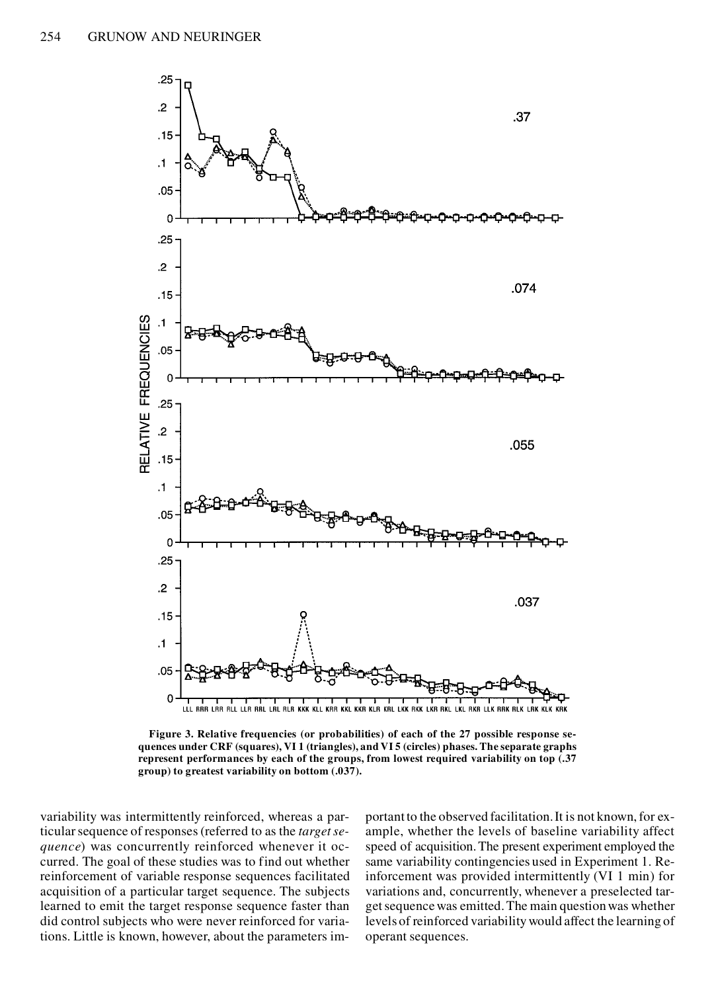

**Figure 3. Relative frequencies (or probabilities) of each of the 27 possible response se quences under CRF (squares), VI 1 (triangles), and VI 5 (circles) phases. The separate graphs represent performances by each of the groups, from lowest required variability on top (.37 group) to greatest variability on bottom (.037).**

variability was intermittently reinforced, whereas a particular sequence of responses (referred to as the *target se quence*) was concurrently reinforced whenever it occurred. The goal of these studies was to find out whether reinforcement of variable response sequences facilitated acquisition of a particular target sequence. The subjects learned to emit the target response sequence faster than did control subjects who were never reinforced for variations. Little is known, however, about the parameters im-

portant to the observed facilitation. It is not known, for example, whether the levels of baseline variability affect speed of acquisition. The present experiment employed the same variability contingencies used in Experiment 1. Reinforcement was provided intermittently (VI 1 min) for variations and, concurrently, whenever a preselected target sequence was emitted. The main question was whether levels of reinforced variability would affect the learning of operant sequences.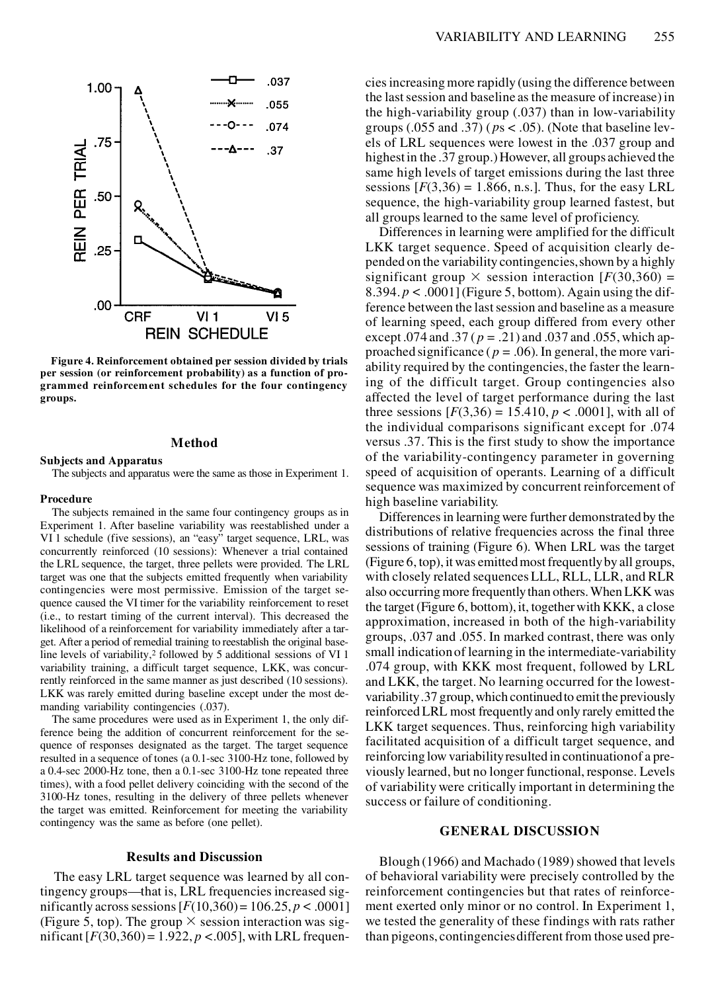

**Figure 4. Reinforcement obtained per session divided by trials per session (or reinforcement probability) as a function of programmed reinforcement schedules for the four contingency groups.** 

## **Method**

## **Subjects and Apparatus**

The subjects and apparatus were the same as those in Experiment 1.

#### **Procedure**

**The subjects remained in the same four contingency groups as in the subjects remained in the same four contingency groups as in Differences** in logaring Experiment 1. After baseline variability was reestablished under a VI 1 schedule (five sessions), an "easy" target sequence, LRL, was concurrently reinforced (10 sessions): Whenever a trial contained the LRL sequence, the target, three pellets were provided. The LRL target was one that the subjects emitted frequently when variability contingencies were most permissive. Emission of the target se quence caused the VI timer for the variability reinforcement to reset (i.e., to restart timing of the current interval). This decreased the likelihood of a reinforcement for variability immediately after a target. After a period of remedial training to reestablish the original baseline levels of variability,<sup>2</sup> followed by 5 additional sessions of VI 1 variability training, a difficult target sequence, LKK, was concurrently reinforced in the same manner as just described (10 sessions). LKK was rarely emitted during baseline except under the most demanding variability contingencies (.037).

The same procedures were used as in Experiment 1, the only difference being the addition of concurrent reinforcement for the se quence of responses designated as the target. The target sequence resulted in a sequence of tones (a 0.1-sec 3100-Hz tone, followed by a 0.4-sec 2000-Hz tone, then a 0.1-sec 3100-Hz tone repeated three times), with a food pellet delivery coinciding with the second of the 3100-Hz tones, resulting in the delivery of three pellets whenever the target was emitted. Reinforcement for meeting the variability contingency was the same as before (one pellet).

## **Results and Discussion**

The easy LRL target sequence was learned by all contingency groups—that is, LRL frequencies increased significantly across sessions  $[F(10,360) = 106.25, p < .0001]$ (Figure 5, top). The group  $\times$  session interaction was significant  $[F(30,360) = 1.922, p < .005]$ , with LRL frequencies increasing more rapidly (using the difference between the last session and baseline as the measure of increase) in the high-variability group (.037) than in low-variability groups  $(.055$  and  $.37)$  ( $ps < .05$ ). (Note that baseline levels of LRL sequences were lowest in the .037 group and highest in the .37 group.) However, all groups achieved the same high levels of target emissions during the last three sessions  $[F(3,36) = 1.866, n.s.]$ . Thus, for the easy LRL sequence, the high-variability group learned fastest, but all groups learned to the same level of proficiency.

Differences in learning were amplified for the difficult LKK target sequence. Speed of acquisition clearly depended on the variability contingencies, shown by a highly significant group  $\times$  session interaction  $[F(30,360) =$ 8.394.  $p < .0001$  [Figure 5, bottom]. Again using the difference between the last session and baseline as a measure of learning speed, each group differed from every other except  $.074$  and  $.37$  ( $p = .21$ ) and  $.037$  and  $.055$ , which approached significance ( $p = .06$ ). In general, the more variability required by the contingencies, the faster the learning of the difficult target. Group contingencies also affected the level of target performance during the last three sessions  $[F(3,36) = 15.410, p < .0001]$ , with all of the individual comparisons significant except for .074 versus .37. This is the first study to show the importance of the variability-contingency parameter in governing speed of acquisition of operants. Learning of a difficult sequence was maximized by concurrent reinforcement of

Differences in learning were further demonstrated by the distributions of relative frequencies across the final three sessions of training (Figure 6). When LRL was the target (Figure 6, top), it was emitted most frequently by all groups, with closely related sequences LLL, RLL, LLR, and RLR also occurring more frequently than others. When LKK was the target (Figure 6, bottom), it, together with KKK, a close approximation, increased in both of the high-variability groups, .037 and .055. In marked contrast, there was only small indication of learning in the intermediate-variability .074 group, with KKK most frequent, followed by LRL and LKK, the target. No learning occurred for the lowestvariability .37 group, which continued to emit the previously reinforced LRL most frequently and only rarely emitted the LKK target sequences. Thus, reinforcing high variability facilitated acquisition of a difficult target sequence, and reinforcing low variability resulted in continuation of a previously learned, but no longer functional, response. Levels of variability were critically important in determining the success or failure of conditioning.

# **GENERAL DISCUSSION**

Blough (1966) and Machado (1989) showed that levels of behavioral variability were precisely controlled by the reinforcement contingencies but that rates of reinforcement exerted only minor or no control. In Experiment 1, we tested the generality of these findings with rats rather than pigeons, contingencies different from those used pre-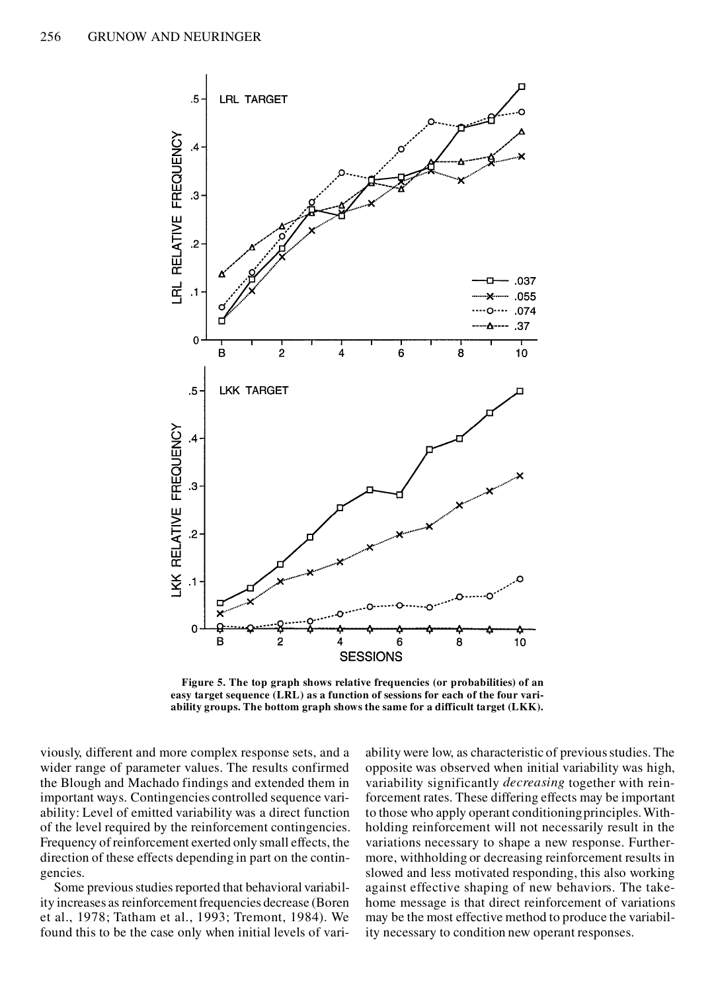

**Figure 5. The top graph shows relative frequencies (or probabilities) of an easy target sequence (LRL) as a function of sessions for each of the four variability groups. The bottom graph shows the same for a difficult target (LKK).**

viously, different and more complex response sets, and a wider range of parameter values. The results confirmed the Blough and Machado findings and extended them in important ways. Contingencies controlled sequence variability: Level of emitted variability was a direct function of the level required by the reinforcement contingencies. Frequency of reinforcement exerted only small effects, the direction of these effects depending in part on the contingencies.

Some previous studies reported that behavioral variability increases as reinforcement frequencies decrease (Boren et al., 1978; Tatham et al., 1993; Tremont, 1984). We found this to be the case only when initial levels of variability were low, as characteristic of previous studies. The opposite was observed when initial variability was high, variability significantly *decreasing* together with reinforcement rates. These differing effects may be important to those who apply operant conditioning principles. Withholding reinforcement will not necessarily result in the variations necessary to shape a new response. Furthermore, withholding or decreasing reinforcement results in slowed and less motivated responding, this also working against effective shaping of new behaviors. The takehome message is that direct reinforcement of variations may be the most effective method to produce the variability necessary to condition new operant responses.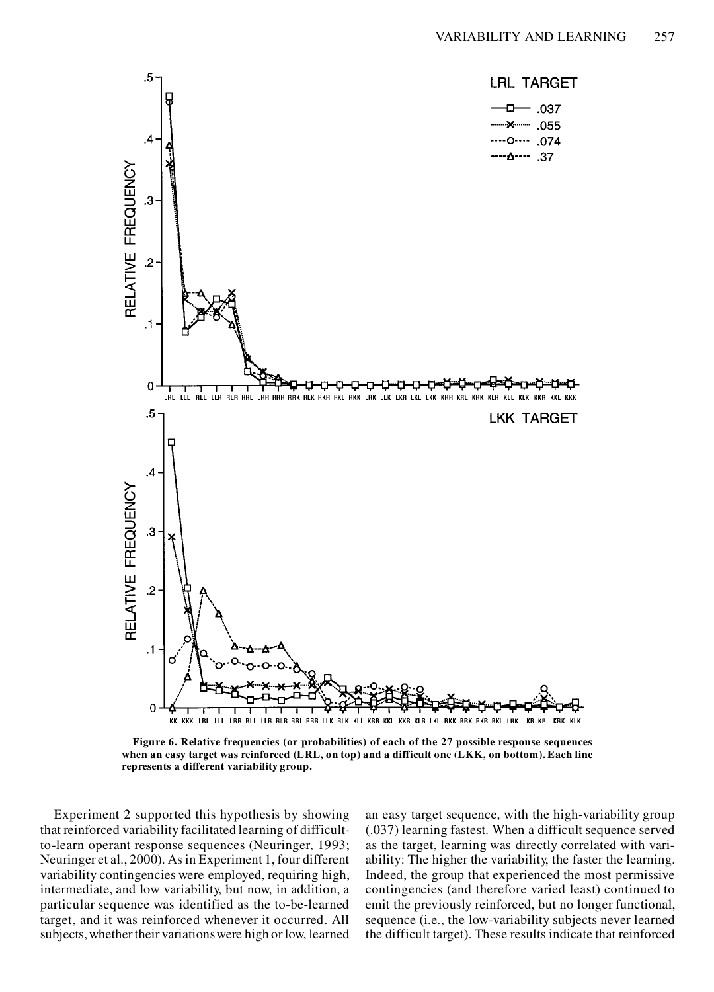

**Figure 6. Relative frequencies (or probabilities) of each of the 27 possible response sequences when an easy target was reinforced (LRL, on top) and a difficult one (LKK, on bottom). Each line represents a different variability group.**

Experiment 2 supported this hypothesis by showing that reinforced variability facilitated learning of difficultto-learn operant response sequences (Neuringer, 1993; Neuringer et al., 2000). As in Experiment 1, four different variability contingencies were employed, requiring high, intermediate, and low variability, but now, in addition, a particular sequence was identified as the to-be-learned target, and it was reinforced whenever it occurred. All subjects, whether their variations were high or low, learned an easy target sequence, with the high-variability group (.037) learning fastest. When a difficult sequence served as the target, learning was directly correlated with variability: The higher the variability, the faster the learning. Indeed, the group that experienced the most permissive contingencies (and therefore varied least) continued to emit the previously reinforced, but no longer functional, sequence (i.e., the low-variability subjects never learned the difficult target). These results indicate that reinforced